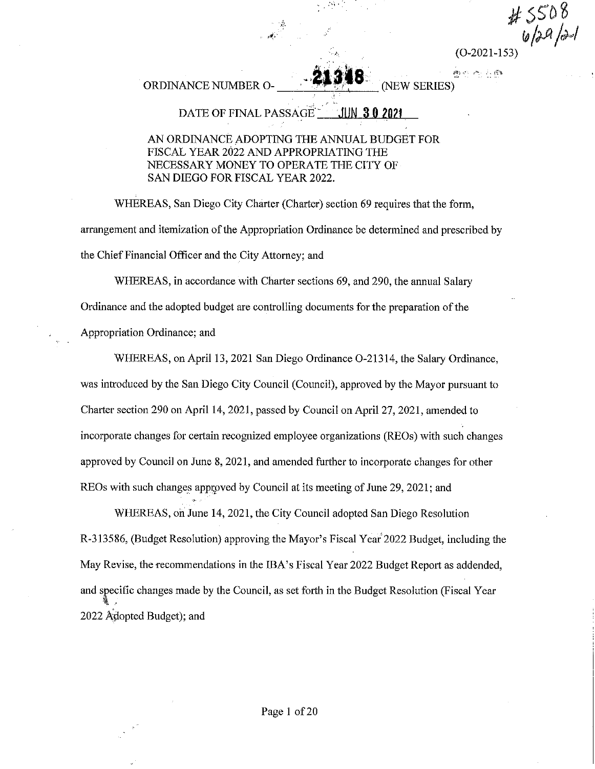(0-2021-153)

● ○ や 一枚

(NEW SERIES)

 $#$  550 $8$ 

*w/;.11 !1?-1* 

#### **ORDINANCE NUMBER O-**

### DATE OF FINAL PASSAGE JUN **30 2021**

### AN ORDINANCE ADOPTING THE ANNUAL BUDGET FOR FISCAL YEAR 2022 AND APPROPRIATING THE NECESSARY MONEY TO OPERA TE THE CITY OF SAN DIEGO FOR FISCAL YEAR 2022.

WHEREAS, San Diego City Charter (Charter) section 69 requires that the form, arrangement and itemization of the Appropriation Ordinance be determined and prescribed by the Chief Financial Officer and the City Attorney; and

WHEREAS, in accordance with Charter sections 69, and 290, the annual Salary

Ordinance and the adopted budget are controlling documents for the preparation of the

Appropriation Ordinance; and

WHEREAS, on April 13, 2021 San Diego Ordinance 0-21314, the Salary Ordinance, was introduced by the San Diego City Council (Council), approved by the Mayor pursuant to Charter section 290 on April 14, 2021, passed by Council on April 27, 2021, amended to incorporate changes for certain recognized employee organizations (REOs) with such changes approved by Council on June 8, 2021, and amended further to incorporate changes for other REOs with such changes approved by Council at its meeting of June 29, 2021; and

WHEREAS, on June 14, 2021, the City Council adopted San Diego Resolution R-313586, (Budget Resolution) approving the Mayor's Fiscal Year 2022 Budget, including the May Revise, the recommendations in the IBA's Fiscal Year 2022 Budget Report as addended, and srecific changes made by the Council, as set forth in the Budget Resolution (Fiscal Year 2022 Adopted Budget); and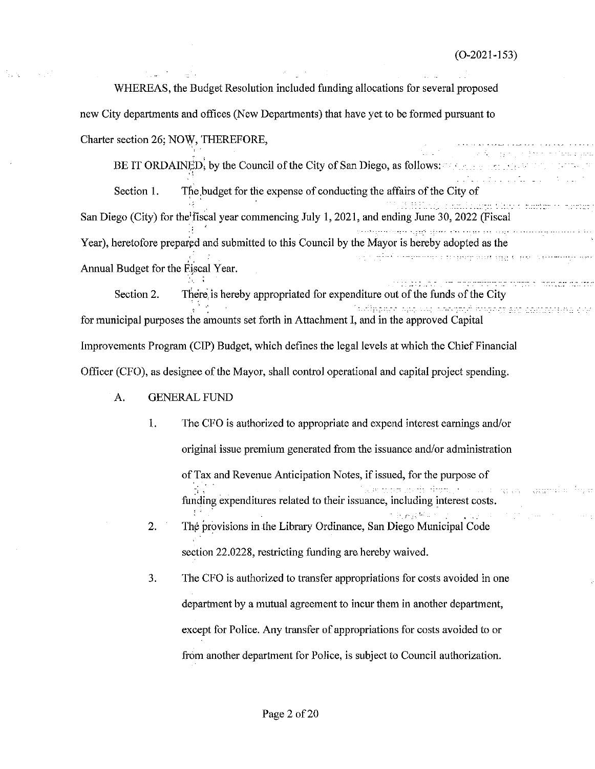WHEREAS, the Budget Resolution included funding allocations for several proposed new City departments and offices (New Departments) that have yet to be formed pursuant to Charter section 26; NOW, THEREFORE,

BE IT ORDAINED, by the Council of the City of San Diego, as follows: *statement* Section 1. The budget for the expense of conducting the affairs of the City of  $\mathcal{L} \left( \mathcal{L} \right) = \mathcal{L} \left( \mathcal{L} \right)$ s armeni i se savanno de fama de le proponente en .<br>Se recente a angle de la fama de l'estrega guerra. San Diego (City) for the'fiscal year commencing July 1, 2021, and ending June 30, 2022 (Fiscal ing and the state of the state of the state of the complete state of the state of the state of the state of th Year), heretofore prepared and submitted to this Council by the Mayor is hereby adopted as the مرمح مستحدث بديها ووزيا فيندد ومقردة والمحاملات والمحامل Annual Budget for the Fiscal Year.

Section 2. There is hereby appropriated for expenditure out of the funds of the City furthermore we weren independent controlled co for municipal purposes the amounts set forth in Attachment I, and in the approved Capital Improvements Program (CIP) Budget, which defines the legal levels at which the Chief Financial Officer (CFO), as designee of the Mayor, shall control operational and capital project spending.

- A. GENERAL FUND
	- 1. The CFO is authorized to appropriate and expend interest earnings and/or original issue premium generated from the issuance and/or administration of Tax and Revenue Anticipation Notes, if issued, for the purpose of ar in upperfilm funding expenditures related to their issuance, including interest costs. e Baygit Albert 2. Thé provisions in the Library Ordinance, San Diego Municipal Code

section 22.0228, restricting funding are hereby waived.

3. The CFO is authorized to transfer appropriations for costs avoided in one department by a mutual agreement to incur them in another department, except for Police. Any transfer of appropriations for costs avoided to or from another department for Police, is subject to Council authorization.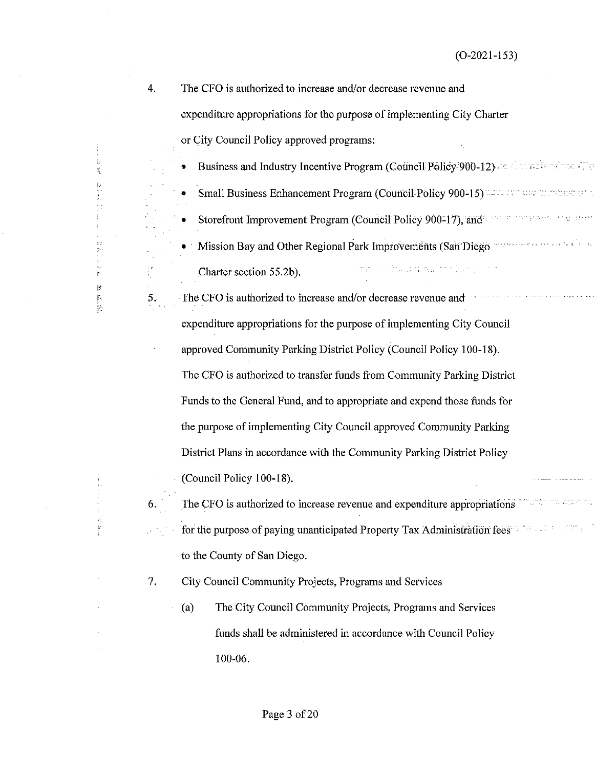mati

4. The CFO is authorized to increase and/or decrease revenue and

expenditure appropriations for the purpose of implementing City Charter

or City Council Policy approved programs:

Business and Industry Incentive Program (Council Policy 900-12) at Council or the Civ

- **Small Business Enhancement Program (Council: Policy 900-15) and the comment of a**
- Storefront Improvement Program (Council Policy 900-17), and and an analysis are stress
- Mission Bay and Other Regional Park Improvements (San Diego errich Gallici, probe Newton

Charter section 55.2b).

5.

 $\frac{1}{10}$ Ę

÷  $\ddot{\phantom{a}}$ 

 $\frac{1}{3}$ 

j.  $\mathcal{C}^{\prime}$ ſ.  $\mathbb{R}$ 

The CFO is authorized to increase and/or decrease revenue and  $\cdots$ expenditure appropriations for the purpose of implementing City Council approved Community Parking District Policy (Council Policy 100-18). The CFO is authorized to transfer funds from Community Parking District Funds to the General Fund, and to appropriate and expend those funds for the pwpose of implementing City Council approved Community Parking District Plans in accordance with the Community Parking District Policy (Council Policy 100-18).

6. The CFO is authorized to increase revenue and expenditure appropriations for the purpose of paying unanticipated Property Tax Administration fees and all all the state of to the County of San Diego.

7. City Council Community Projects, Programs and Services

(a) The City Council Community Projects, Programs and Services funds shall be administered in accordance with Council Policy 100-06.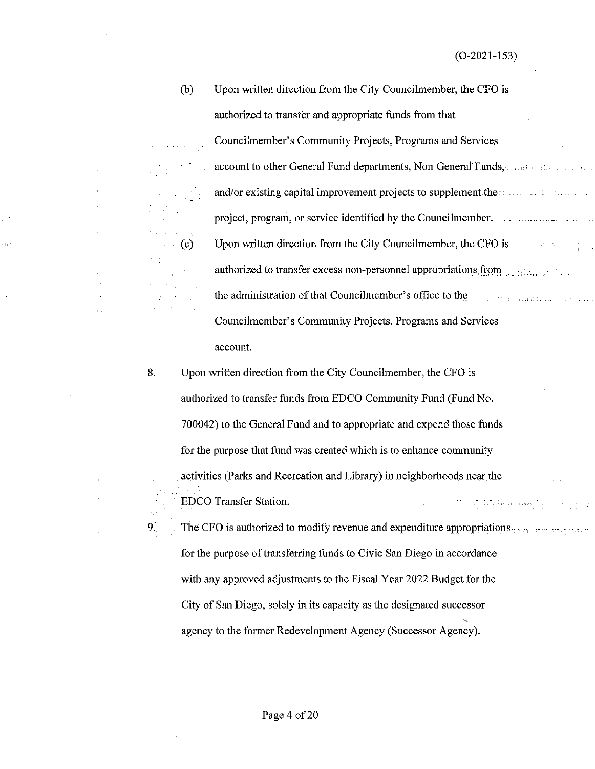(b) Upon written direction from the City Councilmember, the CFO is authorized to transfer and appropriate funds from that Councilmember's Community Projects, Programs and Services account to other General Fund departments, Non General Funds, . and/or existing capital improvement projects to supplement the  $\frac{1}{2}$ project, program, or service identified by the Councilmember.  $(c)$  Upon written direction from the City Councilmember, the CFO is  $\frac{c}{c}$ authorized to transfer excess non-personnel appropriations from the administration of that Councilmember's office to the tt saannigen ook it. Councilmember's Community Projects, Programs and Services account.

8. Upon written direction from the City Councilmember, the CFO is authorized to transfer funds from EDCO Community Fund (Fund No. 700042) to the General Fund and to appropriate and expend those funds for the purpose that fund was created which is to enhance community . activities (Parks and Recreation and Library) in neighborhoocjs nesi.r.the ... EDCO Transfer Station. SAS Represents 9. The CFO is authorized to modify revenue and expenditure appropriations  $\phi$ ,  $\phi$ ,  $\phi$ ,  $\phi$ ,  $\phi$ 

for the purpose of transferring funds to Civic San Diego in accordance with any approved adjustments to the Fiscal Year 2022 Budget for the City of San Diego, solely in its capacity as the designated successor agency to the fonner Redevelopment Agency (Successor Agency).

ì,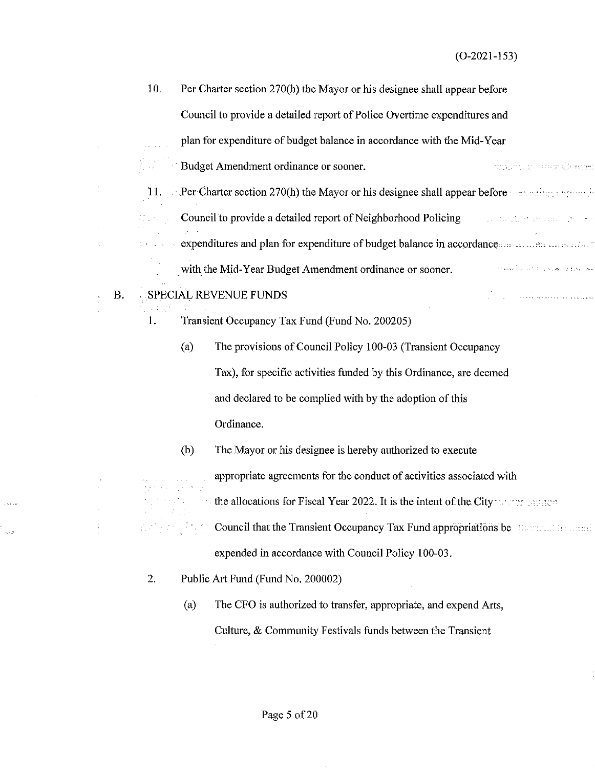- 10. Per Charter section 270(h) the Mayor or his designee shall appear before Council to provide a detailed report of Police Overtime expenditures and plan for expenditure of budget balance in accordance with the Mid-Year Budget Amendment ordinance or sooner. ankat voreg Oreg
- 11. Per Charter section 270(h) the Mayor or his designee shall appear before a maning appear in Council to provide a detailed report of Neighborhood Policing الجادا فعالى كالووي الخوافعان إلى والمتملك المارداد expenditures and plan for expenditure of budget balance in accordance and constant in contract **SALE** with the Mid-Year Budget Amendment ordinance or sooner. **CONTRACTOR** PROPERTY

### B. . SPECIAL REVENUE FUNDS

ووزود

Ц.

- 1. Transient Occupancy Tax Fund (Fund No. 200205)
	- (a) The provisions of Council Policy 100-03 (Transient Occupancy Tax), for specific activities funded by this Ordinance, are deemed and declared to be complied with by the adoption of this Ordinance.
	- (b) The Mayor or his designee is hereby authorized to execute appropriate agreements for the conduct of activities associated with the allocations for Fiscal Year 2022. It is the intent of the City and the  $\frac{1}{2}$ Council that the Transient Occupancy Tax Fund appropriations be attended to the moniexpended in accordance with Council Policy 100-03.
- 2. Public Art Fund (Fund No. 200002)
	- (a) The CFO is authorized to transfer, appropriate, and expend Arts, Culture, & Community Festivals funds between the Transient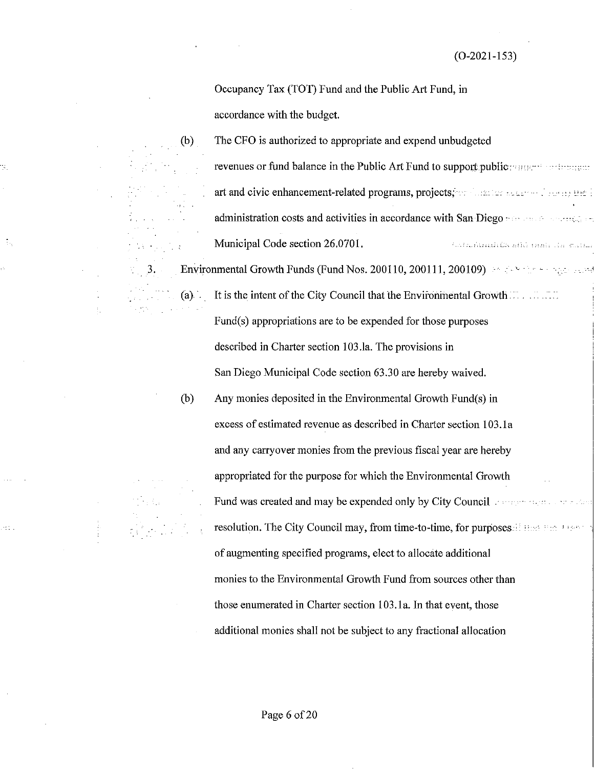(0-2021-153)

Occupancy Tax (TOT) Fund and the Public Art Fund, in accordance with the budget.

(b) The CFO is authorized to appropriate and expend nnbudgeted revenues or fund balance in the Public Art Fund to support public: and the company art and civic enhancement-related programs, projects, the chance made with the transmitted administration costs and activities in accordance with San Diego·· Municipal Code section 26.0701. Gebraamirka aht man da een. 3. Environmental Growth Funds (Fund Nos. 200110, 200111, 200109) and the function of (a)  $\therefore$  It is the intent of the City Council that the Environmental Growth... Fund(s) appropriations are to be expended for those purposes described in Charter section 103 .la. The provisions in San Diego Municipal Code section 63.30 are hereby waived.

(b) Any monies deposited in the Environmental Growth Fund(s) in excess of estimated revenue as described in Charter section 103. la and any carryover monies from the previous fiscal year are hereby appropriated for the purpose for which the Environmental Growth Fund was created and may be expended only by City Council Americans resolution. The City Council may, from time-to-time, for purposes. If the the theory of augmenting specified programs, elect to allocate additional monies to the Environmental Growth Fund from sources other than those enumerated in Charter section 103.1a. In that event, those additional monies shall not be subject to any fractional allocation

o,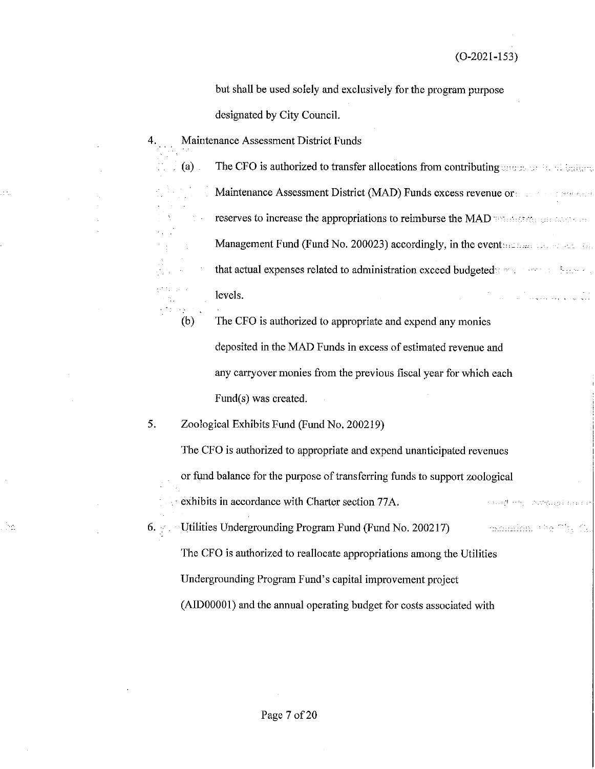but shall be used solely and exclusively for the program purpose

designated by City Council.

4. Maintenance Assessment District Funds

(a)  $\blacksquare$  The CFO is authorized to transfer allocations from contributing  $\text{argmin}$  of  $\blacksquare$  in the interval Maintenance Assessment District (MAD) Funds excess revenue or a construction of the construction reserves to increase the appropriations to reimburse the MAD inconstruction and set Management Fund (Fund No. 200023) accordingly, in the event set that the late of the that actual expenses related to administration exceed budgeted  $\cdots$  and  $\cdots$  is a second second budgeted  $\cdots$ و دارد.<br>منبول موردی ارزاد و بازیک در این ایران ایران levels.

(b) The CFO is authorized to appropriate and expend any monies deposited in the MAD Funds in excess of estimated revenue and any carryover monies from the previous fiscal year for which each Fund(s) was created.

5. Zoological Exhibits Fund (Fund No. 200219)

ha

The CFO is authorized to appropriate and expend unanticipated revenues or fund balance for the purpose of transferring funds to support zoological exhibits in accordance with Charter section 77A. saled the compagnizing

6. • Utilities Undergrounding Program Fund (Fund No. 200217) channion, the Civ. Ci. The CFO is authorized to reallocate appropriations among the Utilities Undergrounding Program Fund's capital improvement project (AID00001) and the annual operating budget for costs associated with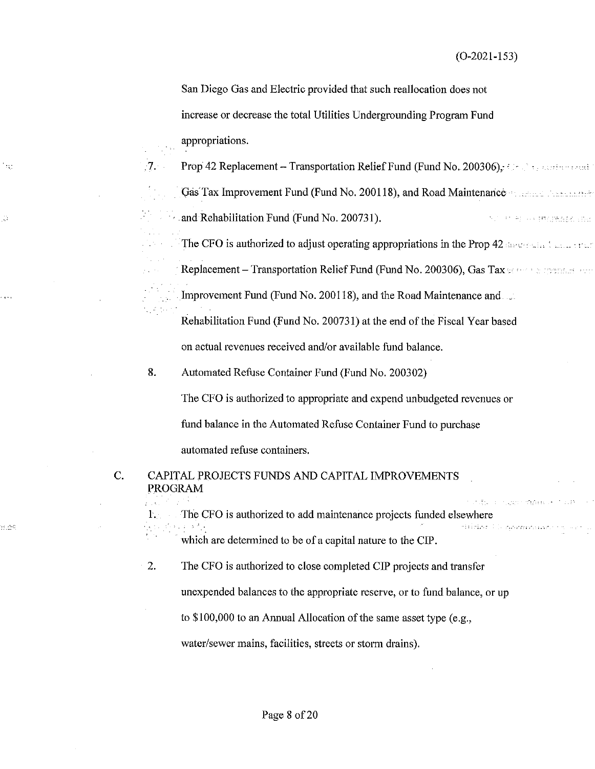(0-2021-153)

الفادية وهجام فالفوق الدادي

San Diego Gas and Electric provided that such reallocation does not increase or decrease the total Utilities Undergrounding Program Fund appropriations.

7. Prop 42 Replacement – Transportation Relief Fund (Fund No. 200306), the function relationship

Gas Tax Improvement Fund (Fund No. 200118), and Road Maintenance and all contracts the

and Rehabilitation Fund (Fund No. 200731). فللمراضع والاهم والتعقف والبارا مقارحه الرازح

The CFO is authorized to adjust operating appropriations in the Prop 42 seconds in the rest

Replacement - Transportation Relief Fund (Fund No. 200306), Gas Tax  $\leq$  the supersustance

Improvement Fund (Fund No. 200118), and the Road Maintenance and

Rehabilitation Fund (Fund No. 200731) at the end of the Fiscal Year based

on actual revenues received and/or available fund balance.

8. Automated Refuse Container Fund (Fund No. 200302)

.<br>Tab

. . . .

se vic

The CFO is authorized to appropriate and expend unbudgeted revenues or fund balance in the Automated Refuse Container Fund to purchase automated refuse containers.

### C. CAPITAL PROJECTS FUNDS AND CAPITAL IMPROVEMENTS PROGRAM

l. The CFO is authorized to add maintenance projects funded elsewhere dilakt U. Asmanista which are determined to be of a capital nature to the CIP.

2. The CFO is authorized to close completed CIP projects and transfer

unexpended balances to the appropriate reserve, or to fund balance, or up

to \$100,000 to an Annual Allocation of the same asset type (e.g.,

water/sewer mains, facilities, streets or storm drains).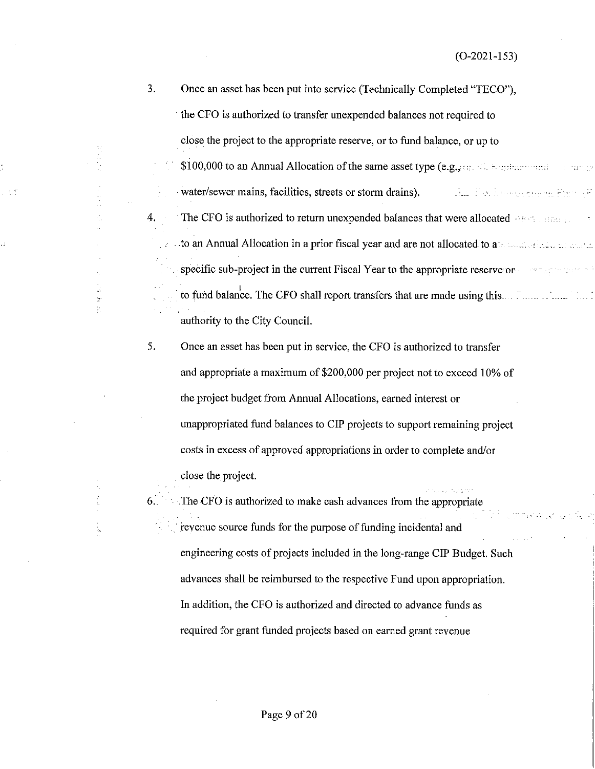3. Once an asset has been put into service (Technically Completed "TECO"), the CFO is authorized to transfer unexpended balances not required to close the project to the appropriate reserve, or to fund balance, or up to \$100,000 to an Annual Allocation of the same asset type  $(e.g., \dots \dots \dots \dots \dots)$ o Estatut water/sewer mains, facilities, streets or storm drains). **And Pax Researchered Figure P** 4. The CFO is authorized to return unexpended balances that were allocated  $+$  -  $+$   $+$ to an Annual Allocation in a prior fiscal year and are not allocated to allocated to allocated the state of the specific sub-project in the current Fiscal Year to the appropriate reserve or- $\sim$   $\sim$   $\sim$   $\sim$ to fund balance. The CFO shall report transfers that are made using this. authority to the City Council.

 $\tau$  .  $\uparrow$ 

 $\mathcal{C}$ ģ.

> 5. Once an asset has been put in service, the CFO is authorized to transfer and appropriate a maximum of \$200,000 per project not to exceed 10% of the project budget from Annual Allocations, earned interest or unappropriated fund balances to CIP projects to support remaining project costs in excess of approved appropriations in order to complete and/or close the project.

> 6. The CFO is authorized to make cash advances from the appropriate revenue source funds for the purpose of funding incidental and engineering costs of projects included in the long-range CIP Budget. Such advances shall be reimbursed to the respective Fund upon appropriation. In addition, the CFO is authorized and directed to advance funds as required for grant ftmded projects based on earned grant revenue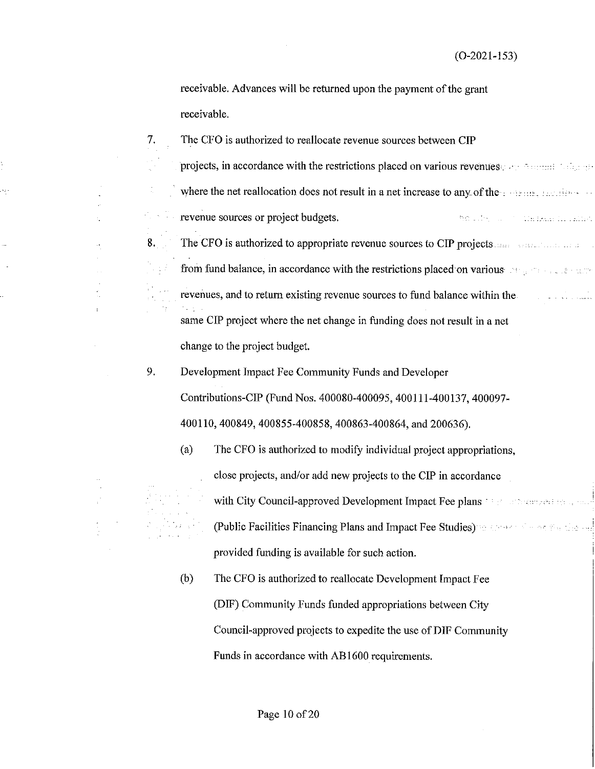receivable. Advances will be returned upon the payment of the grant receivable.

7. The CFO is authorized to reallocate revenue sources between **CIP**  projects, in accordance with the restrictions placed on various revenues and contrain the property where the net reallocation does not result in a net increase to any of the constructions of .revenue sources or project budgets. as integral of the passion rather 8. The CFO is authorized to appropriate revenue sources to CIP projects. from fund balance, in accordance with the restrictions placed on various and constants and constants revenues, and to return existing revenue sources to fund balance within the ing a straight and a straight and the straight of the straight of the straight of the straight of the straight of the straight of the straight of the straight of the straight of the straight of the straight of the straight same CIP project where the net change in funding does not result in a net change to the project budget.

9. Development Impact Fee Community Funds and Developer Contributions-CIP (Fund Nos. 400080-400095, 400111-400137, 400097- 400110, 400849, 400855-400858, 400863-400864, and 200636).

- (a) The CFO is authorized to modify individual project appropriations, close projects, and/or add new projects to the CIP in accordance with City Council-approved Development Impact Fee plans **but all continues the council** (Public Facilities Financing Plans and Impact Fee Studies) and a server of the second state and provided funding is available for such action.
- (b) The CFO is authorized to reallocate Development Impact Fee (DIP) Community Funds funded appropriations between City Council-approved projects to expedite the use of DIF Community Funds in accordance with AB 1600 requirements.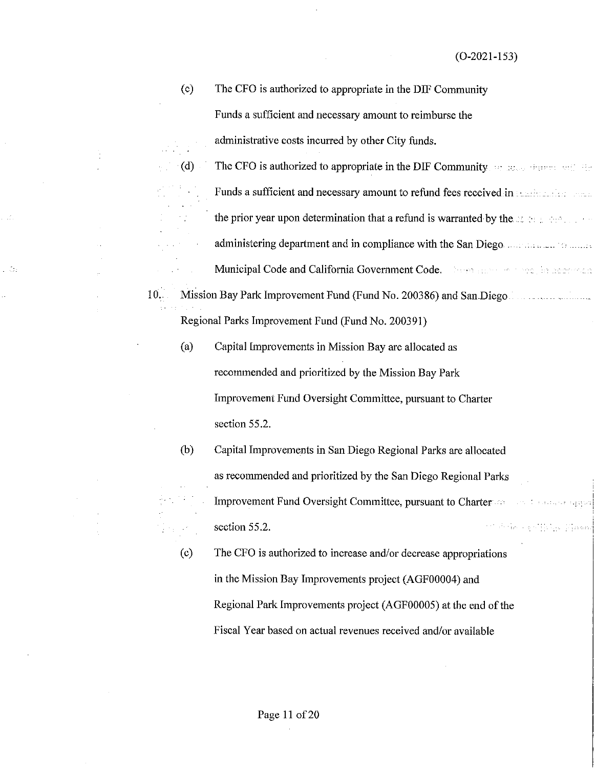(c) The CFO is authorized to appropriate in the DIF Community Funds a sufficient and necessary amount to reimburse the administrative costs incurred by other City funds.

(d) The CFO is authorized to appropriate in the DIF Community. The second results and  $\mathbb{R}^n$ Funds a sufficient and necessary amount to refund fees received in a substanting the state the prior year upon determination that a refund is warranted by the sensitivity of the state of the state of the administering department and in compliance with the San Diego . Municipal Code and California Government Code, a based and the second contract of the second contract of the second contract of the second contract of the second contract of the second contract of the second contract of th

- 10. Mission Bay Park Improvement Fund (Fund No. 200386) and San Diego Regional Parks Improvement Fund (Fund No. 200391)
	- (a) Capital Improvements in Mission Bay are allocated as recommended and prioritized by the Mission Bay Park Improvement Fund Oversight Committee, pursuant to Charter section 55.2.
	- (b) Capital Improvements in San Diego Regional Parks are allocated as recommended and prioritized by the San Diego Regional Parks Improvement Fund Oversight Committee, pursuant to Charter in Talling uppe Gale - estituto cinaad section 55.2.
	- (c) The CFO is authorized to increase and/or decrease appropriations in the Mission Bay Improvements project (AGF00004) and Regional Park Improvements project (AGF00005) at the end of the Fiscal Year based on actual revenues received and/or available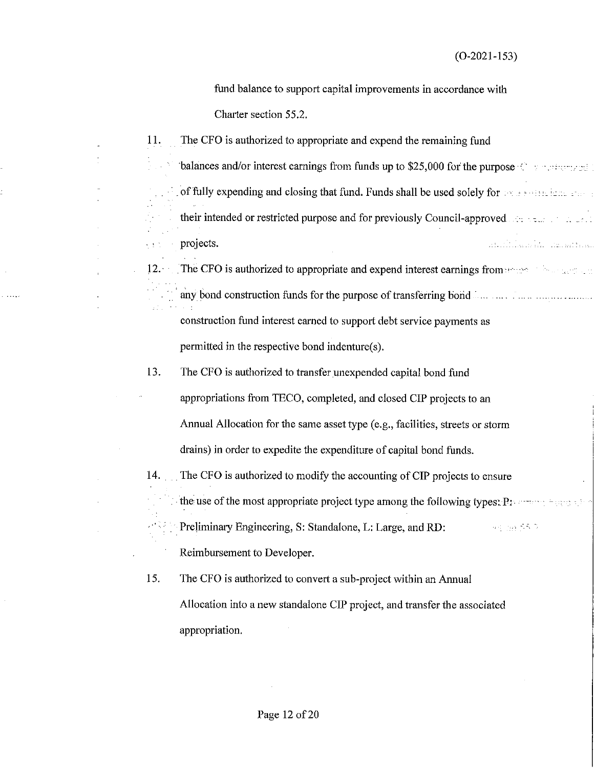fund balance to support capital improvements in accordance with

Charter section 55.2.

o est

11. The CFO is authorized to appropriate and expend the remaining fund

balances and/or interest earnings from funds up to \$25,000 for the purpose  $\odot$  so the purpose of fully expending and closing that fund. Funds shall be used solely for the stational contact of their intended or restricted purpose and for previously Council-approved projects. market and the market

12. The CFO is authorized to appropriate and expend interest earnings from the second of the settlement any bond construction funds for the purpose of transferring bond *internal construction* construction fund interest earned to support debt service payments as permitted in the respective bond indenture(s).

13. The CFO is authorized to transfer unexpended capital bond fund

appropriations from TECO, completed, and closed CIP projects to an Annual Allocation for the same asset type (e.g,, facilities, streets or storm drains) in order to expedite the expenditure of capital bond funds.

14. . The CFO is authorized to modify the accounting of CIP projects to ensure the use of the most appropriate project type among the following types:P:. 94. pa 55.0 Preliminary Engineering, S: Standalone, L: Large, and **RD:** 

Reimbursement to Developer.

15, The CFO is authorized to convert a sub-project within an Annual Allocation into a new standalone CIP project, and transfer the associated appropriation,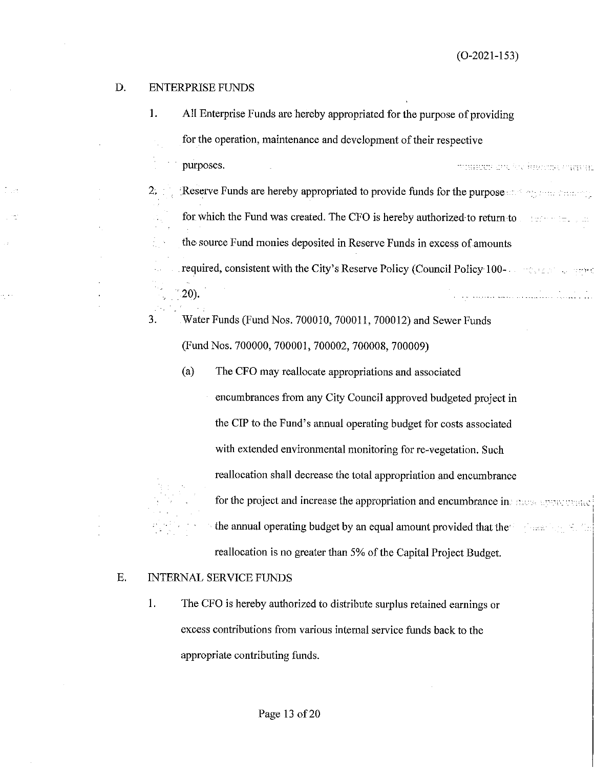#### D. ENTERPRISE FUNDS

ч,

- 1. All Enterprise Funds are hereby appropriated for the purpose of providing for the operation, maintenance and development of their respective purposes. TOWED AT AN HEADY CHEER.
- 2; **Reserve Funds are hereby appropriated to provide funds for the purpose** and approximating for which the Fund was created. The CFO is hereby authorized to return-to the source Fund monies deposited in Reserve Funds in excess of amounts required, consistent with the City's Reserve Policy (Council Policy-100- .  $^{\circ}$ . 20). .<br>A statistic exploration and an interval and a statistic and a

3. Water Funds (Fund Nos. 700010, 700011, 700012) and Sewer Funds (Fund Nos. 700000, 700001, 700002, 700008, 700009)

(a) The CFO may reallocate appropriations and associated encumbrances from any City Council approved budgeted project in the CIP to the Fund's annual operating budget for costs associated with extended environmental monitoring for re-vegetation. Such reallocation shall decrease the total appropriation and encumbrance for the project and increase the appropriation and encumbrance in all all support that the annual operating budget by an equal amount provided that the latter in the finite of the reallocation is no greater than 5% of the Capital Project Budget.

### E. INTERNAL SERVICE FUNDS

1. The CFO is hereby authorized to distribute surplus retained earnings or excess contributions from various internal service funds back to the appropriate contributing funds.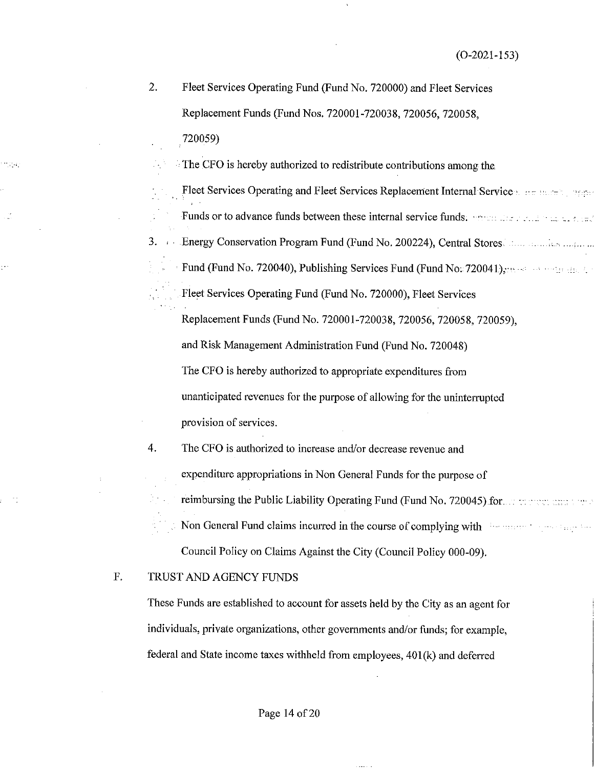2. Fleet Services Operating Fund (Fund No. 720000) and Fleet Services Replacement Funds (Fund Nos. 720001-720038, 720056, 720058, . 720059)

The CFO is hereby authorized to redistribute contributions among the

- Fleet Services Operating and Fleet Services Replacement Internal Service · *no material* Funds or to advance funds between these internal service funds. · ·· 3. Energy Conservation Program Fund (Fund No. 200224), Central Stores Fund (Fund No. 720040), Publishing Services Fund (Fund No; 720041); and the contraction Fleet Services Operating Fund (Fund No. 720000), Fleet Services Replacement Funds (Fund No. 720001-720038, 720056, 720058, 720059), and Risk Management Administration Fund (Fund No. 720048) The CFO is hereby authorized to appropriate expenditures from unanticipated revenues for the purpose of allowing for the uninterrupted provision of services.
- 4. The CFO is authorized to increase and/or decrease revenue and expenditure appropriations in Non General Funds for the purpose of reimbursing the Public Liability Operating Fund (Fund No. 720045) for Non General Fund claims incurred in the course of complying with the concentration of the course of completion Council Policy on Claims Against the City (Council Policy 000-09).

### F. TRUST AND AGENCY FUNDS

ingsa

J.

These Funds are established to account for assets held by the City as an agent for individuals, private organizations, other governments and/or funds; for example, federal and State income taxes withheld from employees, 401(k) and deferred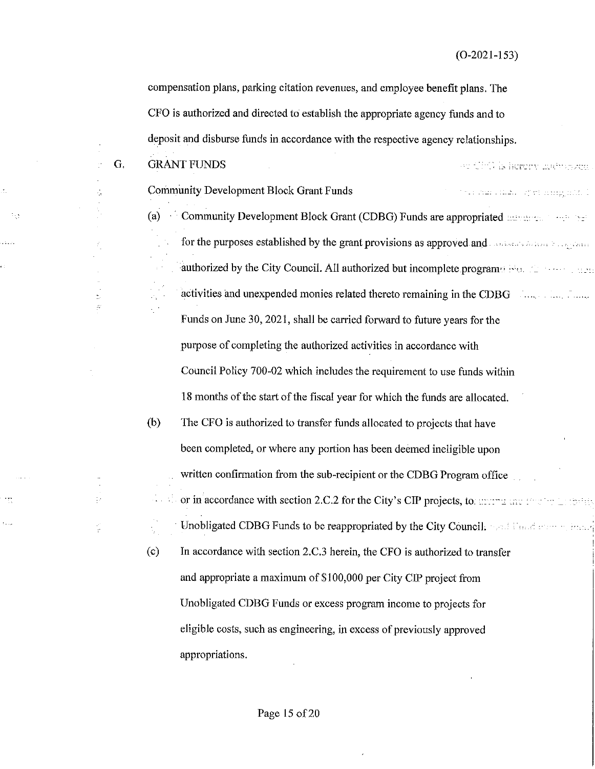(0-2021-153)

compensation plans, parking citation revenues, and employee benefit plans. The CFO is authorized and directed to establish the appropriate agency funds and to deposit and disburse funds in accordance with the respective agency relationships.

G. GRANT FUNDS

έś,

 $\mathcal{L}$ 

 $1.1.11$ 

so dirik is herem damayee

Community Development Block Grant Funds tris neculias opri ampaixo l (a) Community Development Block Grant (CDBG) Funds are appropriated for the purposes established by the grant provisions as approved and. **And the contract of the set of the set of** authorized by the City Council. All authorized but incomplete program  $\mathbb{R}^n$  and  $\mathbb{R}^n$ activities and unexpended monies related thereto remaining in the CDBG Funds on June 30, 2021, shall be carried forward to future years for the purpose of completing the authorized activities in accordance with Council Policy 700-02 which includes the requirement to use funds within 18 months of the start of the fiscal year for which the funds are allocated.

(b) The CFO is authorized to transfer funds allocated to projects that have been completed, or where any portion has been deemed ineligible upon written confirmation from the sub-recipient or the CDBG Program office or in accordance with section 2.C.2 for the City's CIP projects, to.  $\frac{1}{2}$  and  $\frac{1}{2}$ Unobligated CDBG Funds to be reappropriated by the City Council: well limit comes limited (c) In accordance with section 2.C.3 herein, the CFO is authorized to transfer and appropriate a maximum of \$100,000 per City CIP project from Unobligated CDBG Funds or excess program income to projects for

eligible costs, such as engineering, in excess of previously approved appropriations.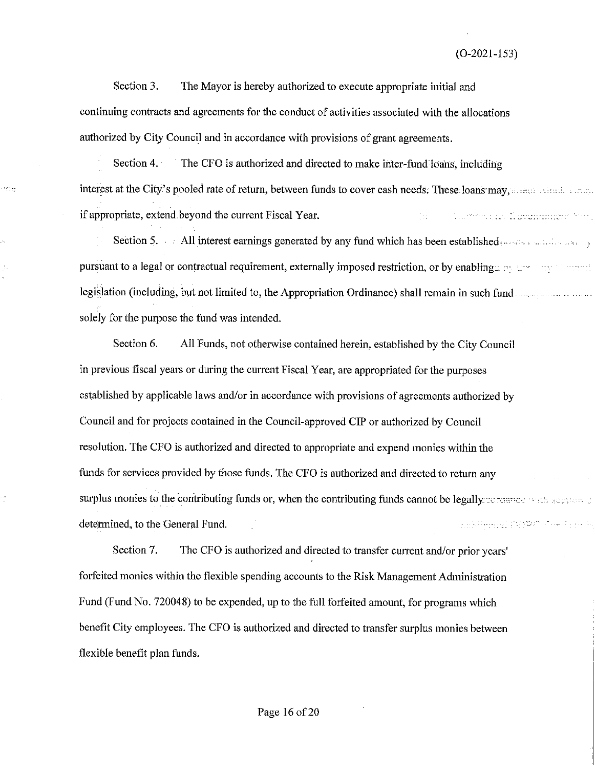Section 3. The Mayor is hereby authorized to execute appropriate initial and continuing contracts and agreements for the conduct of activities associated with the allocations authorized by City Council and in accordance with provisions of grant agreements.

signal.

Section 4. The CFO is authorized and directed to make inter-fund loans, including interest at the City's pooled rate ofreturn, between funds to cover cash needs, These loans·may, . if appropriate, extend.beyond the current Fiscal Year. The experimental proportions of the contract of the contract of the contract of the contract of the contract of the contract of the contract of the contract of the contract of the contract of the contract of the contract o

Section 5. All interest earnings generated by any fund which has been established.  $\ldots$ pursuant to a legal or contractual requirement, externally imposed restriction, or by enabling constant contractual legislation (including, but not limited to, the Appropriation Ordinance) shall remain in such fond. solely for the purpose the fund was intended.

Section 6. All Funds, not otherwise contained herein, established by the City Council in previous fiscal years or during the current Fiscal Year, are appropriated for the purposes established by applicable laws and/or in accordance with provisions of agreements authorized by Council and for projects contained in the Council-approved CIP or authorized by Council resolution. The CFO is authorized and directed to appropriate and expend monies within the funds for services provided by those funds. The CFO is authorized and directed to return any surplus monies to the contributing funds or, when the contributing funds cannot be legally contract with section mik<sup>n</sup>emal (WPC Seekaat determined, to the General Fund.

Section 7. The CFO is authorized and directed to transfer current and/or prior years' forfeited monies within the flexible spending accounts to the Risk Management Administration Fund (Fund No. 720048) to be expended, up to the full forfeited amount, for programs which benefit City employees. The CFO is authorized and directed to transfer surplus monies between flexible benefit plan funds.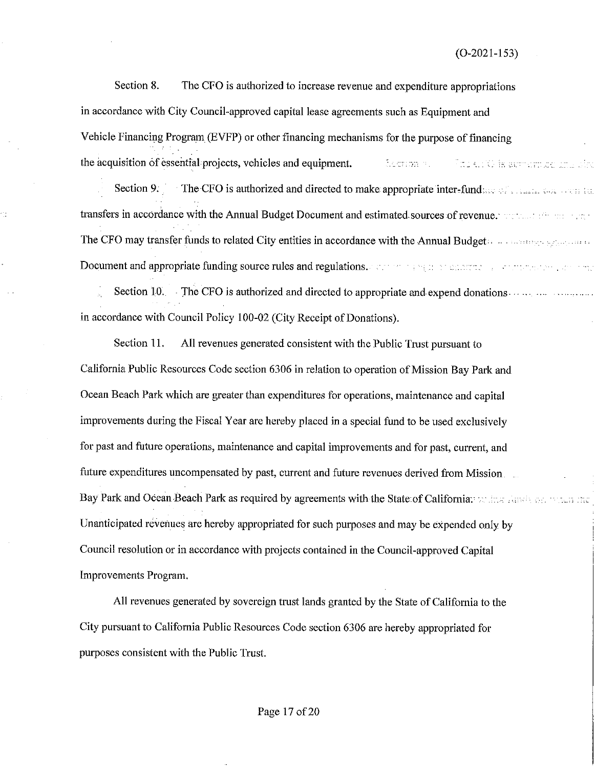(0-2021-153)

Section 8. The CFO is authorized to increase revenue and expenditure appropriations in accordance with City Council-approved capital lease agreements such as Equipment and Vehicle Financing Program (EVFP) or other financing mechanisms for the purpose of financing the acquisition of essential projects, vehicles and equipment. fleering all as The City is easy implemented

Section 9. The CFO is authorized and directed to make appropriate inter-fund and of the contract of the CFO transfers in accordance with the Annual Budget Document and estimated sources of revenue. We have the contract The CFO may transf.;,r funds to related City entities in accordance with the Annual Budget . Document and appropriate funding source rules and regulations. The manner of antitrational contractions are the

Section 10. The CFO is authorized and directed to appropriate and expend donations ........................... in accordance with Council Policy 100-02 (City Receipt of Donations).

Section 11. All revenues generated consistent with the Public Trust pursuant to California Public Resources Code section 6306 in relation to operation of Mission Bay Park and Ocean Beach Park which are greater than expenditures for operations, maintenance and capital improvements during the Fiscal Year are hereby placed in a special fund to be used exclusively for past and future operations, maintenance and capital improvements and for past, current, and future expenditures uncompensated by past, current and future revenues derived from Mission Bay Park and Ocean Beach Park as required by agreements with the State of California: which has been then the Unanticipated revenues are hereby appropriated for such purposes and may be expended only by Council resolution or in accordance with projects contained in the Council-approved Capital Improvements Program.

All revenues generated by sovereign trust lands granted by the State of California to the City pursuant to California Public Resources Code section 6306 are hereby appropriated for purposes consistent with the Public Trust.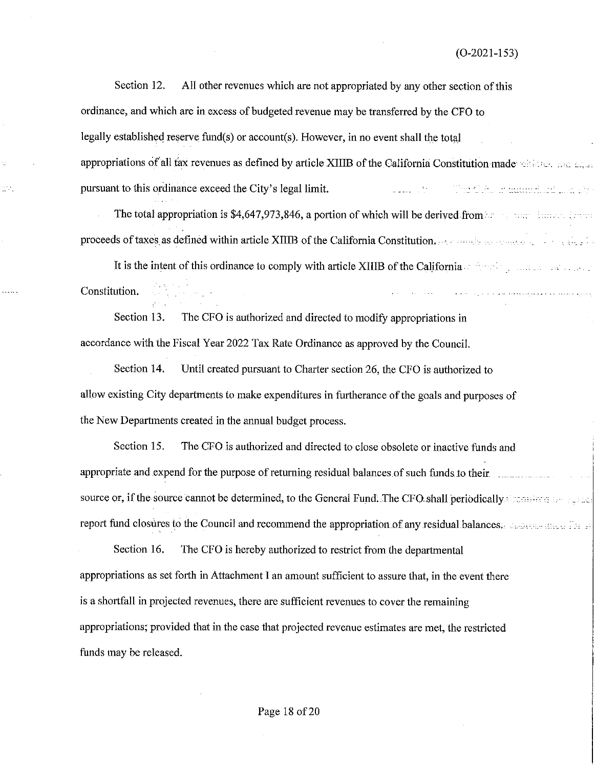Section 12. All other revenues which are not appropriated by any other section of this ordinance, and which are in excess of budgeted revenue may be transferred by the CFO to legally established reserve fund(s) or account(s). However, in no event shall the total appropriations of all tax revenues as defined by article XIIIB of the California Constitution made pursuant to this ordinance exceed the City's legal limit. Text Color in minimal as a color solu

The total appropriation is  $$4,647,973,846$ , a portion of which will be derived from an analyzing successive proceeds of taxes as defined within article XIIIB of the California Constitution .•. • .

It is the intent of this ordinance to comply with article XIIIB of the California and the containing and contain Constitution. 

Section 13. The CFO is authorized and directed to modify appropriations in accordance with the Fiscal Year 2022 Tax Rate Ordinance as approved by the Council.

in p

Section 14. Until created pursuant to Charter section 26, the CFO is authorized to allow existing City departments to make expenditures in furtherance of the goals and purposes of the New Departments created in the annual budget process.

Section 15. The CFO is authorized and directed to close obsolete or inactive funds and appropriate and expend for the purpose of returning residual balances of such funds to their. source or, if the source cannot be determined, to the General Fund. The CFO shall periodically a contract the source report fund closures to the Council and recommend the appropriation of any residual balances. All considers the

Section 16. The CFO is hereby authorized to restrict from the departmental appropriations as set forth in Attachment I an amount sufficient to assure that, in the event there is a shortfall in projected revenues, there are sufficient revenues to cover the remaining appropriations; provided that in the case that projected revenue estimates are met, the restricted funds may be released.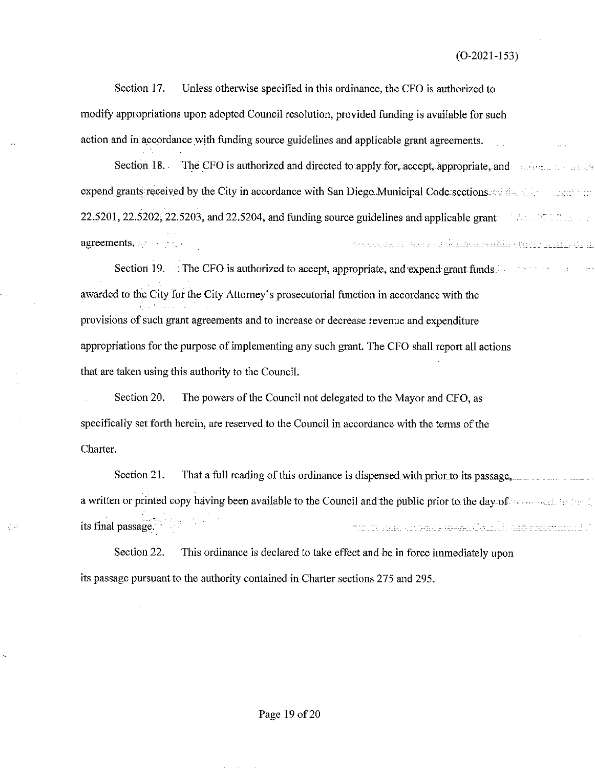Section 17. Unless otherwise specified in this ordinance, the CFO is authorized to modify appropriations upon adopted Council resolution, provided funding is available for such action and in accordance with funding source guidelines and applicable grant agreements.

Section 18. The CFO is authorized and directed to apply for, accept, appropriate, and and construction expend grants received by the City in accordance with San Diego. Municipal Code sections of the City of  $\frac{1}{2}$ 22.5201, 22.5202, 22.5203, and 22.5204, and funding source guidelines and applicable grant and all the state of agreements. territhmet and special design marking gravity like it is an

Section 19. . .: The CFO is authorized to accept, appropriate, and expend grant funds  $\cdots$  and  $\cdots$  and  $\cdots$ awarded to the City for the City Attorney's prosecutorial function in accordance with the provisions of such grant agreements and to increase or decrease revenue and expenditure appropriations for the purpose of implementing any such grant. The CFO shall report all actions that are talcen using this authority to the Council.

Section 20. The powers of the Council not delegated to the Mayor and CFO, as specifically set forth herein, are reserved to the Council in accordance with the terms of the Charter.

Section 21. That a full reading of this ordinance is dispensed with prior to its passage,  $\frac{1}{2}$ a written or printed copy having been available to the Council and the public prior to the day of reconsider the fact its final passage. wou was also have the second would are reseminable

Section 22. This ordinance is declared to take effect and be in force immediately upon its passage pursuant to the authority contained in Charter sections 275 and 295.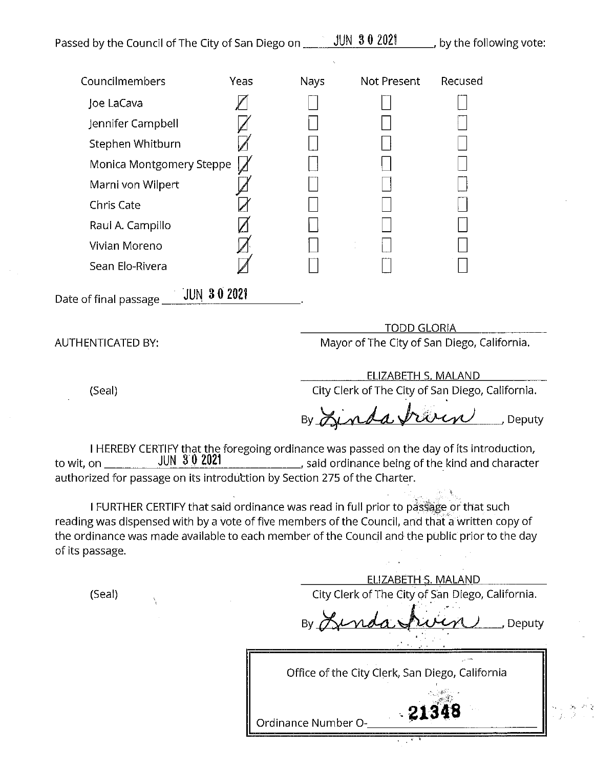| Passed by the Council of The City of San Diego on J | <b>JUN 302021</b> | , by the following vote: |
|-----------------------------------------------------|-------------------|--------------------------|
|                                                     |                   |                          |

| Councilmembers           | Yeas        | <b>Nays</b> | Not Present | Recused |  |
|--------------------------|-------------|-------------|-------------|---------|--|
| Joe LaCava               |             |             |             |         |  |
| Jennifer Campbell        |             |             |             |         |  |
| Stephen Whitburn         |             |             |             |         |  |
| Monica Montgomery Steppe | ◢           |             |             |         |  |
| Marni von Wilpert        |             |             |             |         |  |
| Chris Cate               |             |             |             |         |  |
| Raul A. Campillo         |             |             |             |         |  |
| Vivian Moreno            |             |             |             |         |  |
| Sean Elo-Rivera          |             |             |             |         |  |
| Date of final passage _  | JUN 30 2021 |             |             |         |  |
|                          |             |             | TADD ALADIA |         |  |

<u>TODD GLORIA.</u> AUTHENTICATED BY: Mayor of The City of San Diego, California.

ELIZABETH S. MALAND

City Clerk of The City of San Diego, California.<br>
By **And a fraction**, Deputy

I HEREBY CERTIFY that the foregoing ordinance was passed on the day of its introduction, to wit, on \_\_\_\_\_\_\_\_\_\_\_\_\_JUN\_ $\,3\,0\,2021$   $\,$   $\,$   $\,$   $\,$   $\,$   $\,$   $\,$  said ordinance being of the kind and character authorized for passage on its introduction by Section 275 of the Charter.

I FURTHER CERTIFY that said ordinance was read in full prior to passage or that such reading was dispensed with by a vote of five members of the Council, and that a written copy of the ordinance was made available to each member of the Council and the public prior to the day of its passage.

ELIZABETH S. MALAND (Seal) City Clerk of The City of San Diego, California.

ELIZABETH S. MALAND<br>City Clerk of The City of San Diego, California.<br>By Amda Awin Office of the City Clerk, San Diego, California

Ordinance Number 0-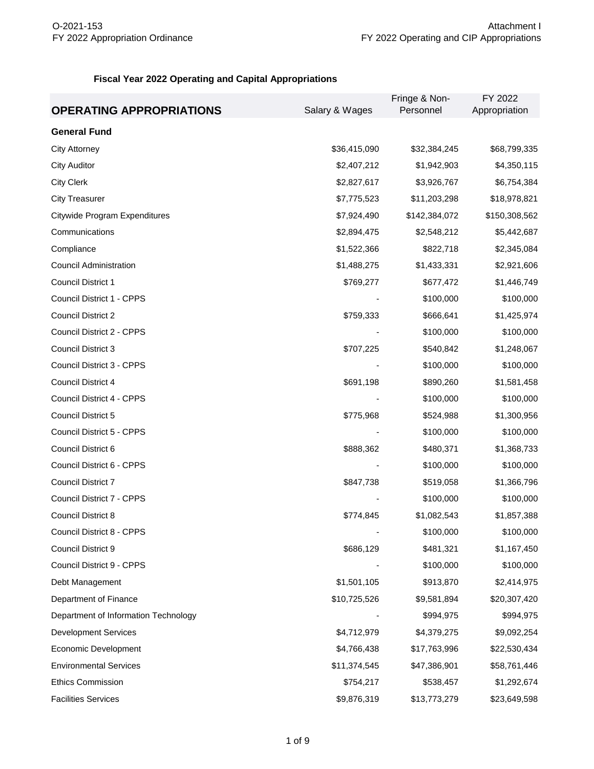## **Fiscal Year 2022 Operating and Capital Appropriations**

| <b>OPERATING APPROPRIATIONS</b>      | Salary & Wages | Fringe & Non-<br>Personnel | FY 2022<br>Appropriation |
|--------------------------------------|----------------|----------------------------|--------------------------|
| <b>General Fund</b>                  |                |                            |                          |
| <b>City Attorney</b>                 | \$36,415,090   | \$32,384,245               | \$68,799,335             |
| <b>City Auditor</b>                  | \$2,407,212    | \$1,942,903                | \$4,350,115              |
| <b>City Clerk</b>                    | \$2,827,617    | \$3,926,767                | \$6,754,384              |
| <b>City Treasurer</b>                | \$7,775,523    | \$11,203,298               | \$18,978,821             |
| Citywide Program Expenditures        | \$7,924,490    | \$142,384,072              | \$150,308,562            |
| Communications                       | \$2,894,475    | \$2,548,212                | \$5,442,687              |
| Compliance                           | \$1,522,366    | \$822,718                  | \$2,345,084              |
| <b>Council Administration</b>        | \$1,488,275    | \$1,433,331                | \$2,921,606              |
| <b>Council District 1</b>            | \$769,277      | \$677,472                  | \$1,446,749              |
| Council District 1 - CPPS            |                | \$100,000                  | \$100,000                |
| <b>Council District 2</b>            | \$759,333      | \$666,641                  | \$1,425,974              |
| Council District 2 - CPPS            |                | \$100,000                  | \$100,000                |
| Council District 3                   | \$707,225      | \$540,842                  | \$1,248,067              |
| Council District 3 - CPPS            |                | \$100,000                  | \$100,000                |
| Council District 4                   | \$691,198      | \$890,260                  | \$1,581,458              |
| Council District 4 - CPPS            |                | \$100,000                  | \$100,000                |
| <b>Council District 5</b>            | \$775,968      | \$524,988                  | \$1,300,956              |
| Council District 5 - CPPS            |                | \$100,000                  | \$100,000                |
| Council District 6                   | \$888,362      | \$480,371                  | \$1,368,733              |
| Council District 6 - CPPS            |                | \$100,000                  | \$100,000                |
| Council District 7                   | \$847,738      | \$519,058                  | \$1,366,796              |
| Council District 7 - CPPS            |                | \$100,000                  | \$100,000                |
| <b>Council District 8</b>            | \$774,845      | \$1,082,543                | \$1,857,388              |
| Council District 8 - CPPS            |                | \$100,000                  | \$100,000                |
| <b>Council District 9</b>            | \$686,129      | \$481,321                  | \$1,167,450              |
| Council District 9 - CPPS            |                | \$100,000                  | \$100,000                |
| Debt Management                      | \$1,501,105    | \$913,870                  | \$2,414,975              |
| Department of Finance                | \$10,725,526   | \$9,581,894                | \$20,307,420             |
| Department of Information Technology |                | \$994,975                  | \$994,975                |
| <b>Development Services</b>          | \$4,712,979    | \$4,379,275                | \$9,092,254              |
| <b>Economic Development</b>          | \$4,766,438    | \$17,763,996               | \$22,530,434             |
| <b>Environmental Services</b>        | \$11,374,545   | \$47,386,901               | \$58,761,446             |
| <b>Ethics Commission</b>             | \$754,217      | \$538,457                  | \$1,292,674              |
| <b>Facilities Services</b>           | \$9,876,319    | \$13,773,279               | \$23,649,598             |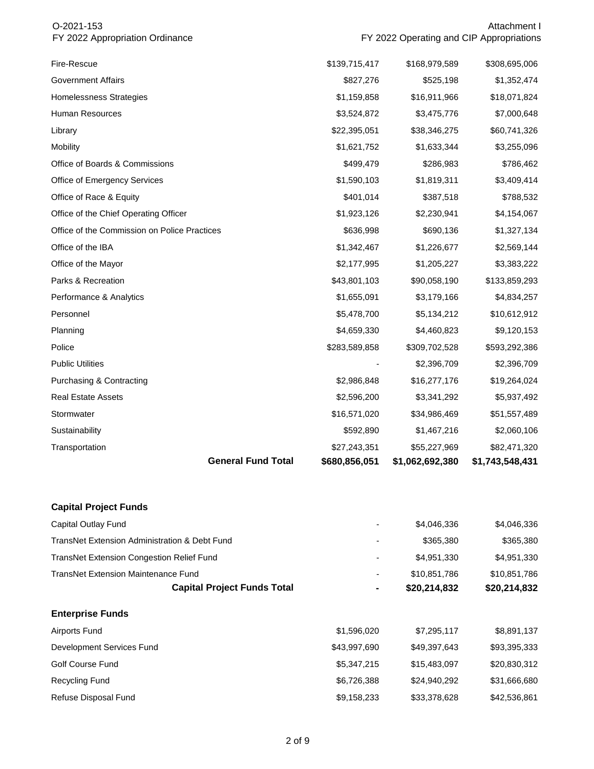| Fire-Rescue<br><b>Government Affairs</b>     | \$139,715,417 |                 |                 |
|----------------------------------------------|---------------|-----------------|-----------------|
|                                              |               | \$168,979,589   | \$308,695,006   |
|                                              | \$827,276     | \$525,198       | \$1,352,474     |
| Homelessness Strategies                      | \$1,159,858   | \$16,911,966    | \$18,071,824    |
| Human Resources                              | \$3,524,872   | \$3,475,776     | \$7,000,648     |
| Library                                      | \$22,395,051  | \$38,346,275    | \$60,741,326    |
| Mobility                                     | \$1,621,752   | \$1,633,344     | \$3,255,096     |
| Office of Boards & Commissions               | \$499,479     | \$286,983       | \$786,462       |
| Office of Emergency Services                 | \$1,590,103   | \$1,819,311     | \$3,409,414     |
| Office of Race & Equity                      | \$401,014     | \$387,518       | \$788,532       |
| Office of the Chief Operating Officer        | \$1,923,126   | \$2,230,941     | \$4,154,067     |
| Office of the Commission on Police Practices | \$636,998     | \$690,136       | \$1,327,134     |
| Office of the IBA                            | \$1,342,467   | \$1,226,677     | \$2,569,144     |
| Office of the Mayor                          | \$2,177,995   | \$1,205,227     | \$3,383,222     |
| Parks & Recreation                           | \$43,801,103  | \$90,058,190    | \$133,859,293   |
| Performance & Analytics                      | \$1,655,091   | \$3,179,166     | \$4,834,257     |
| Personnel                                    | \$5,478,700   | \$5,134,212     | \$10,612,912    |
| Planning                                     | \$4,659,330   | \$4,460,823     | \$9,120,153     |
| Police                                       | \$283,589,858 | \$309,702,528   | \$593,292,386   |
| <b>Public Utilities</b>                      |               | \$2,396,709     | \$2,396,709     |
| <b>Purchasing &amp; Contracting</b>          | \$2,986,848   | \$16,277,176    | \$19,264,024    |
| <b>Real Estate Assets</b>                    | \$2,596,200   | \$3,341,292     | \$5,937,492     |
| Stormwater                                   | \$16,571,020  | \$34,986,469    | \$51,557,489    |
| Sustainability                               | \$592,890     | \$1,467,216     | \$2,060,106     |
| Transportation                               | \$27,243,351  | \$55,227,969    | \$82,471,320    |
| <b>General Fund Total</b>                    | \$680,856,051 | \$1,062,692,380 | \$1,743,548,431 |

Attachment I

O-2021-153

| <b>Capital Project Funds</b>                     |              |              |              |
|--------------------------------------------------|--------------|--------------|--------------|
| Capital Outlay Fund                              |              | \$4,046,336  | \$4,046,336  |
| TransNet Extension Administration & Debt Fund    | ٠            | \$365,380    | \$365,380    |
| <b>TransNet Extension Congestion Relief Fund</b> | ٠            | \$4,951,330  | \$4,951,330  |
| TransNet Extension Maintenance Fund              | ۰            | \$10,851,786 | \$10,851,786 |
| <b>Capital Project Funds Total</b>               | ۰            | \$20,214,832 | \$20,214,832 |
| <b>Enterprise Funds</b>                          |              |              |              |
| <b>Airports Fund</b>                             | \$1,596,020  | \$7,295,117  | \$8,891,137  |
| Development Services Fund                        | \$43,997,690 | \$49,397,643 | \$93,395,333 |
| <b>Golf Course Fund</b>                          | \$5,347,215  | \$15,483,097 | \$20,830,312 |
| Recycling Fund                                   | \$6,726,388  | \$24,940,292 | \$31,666,680 |
| Refuse Disposal Fund                             | \$9,158,233  | \$33,378,628 | \$42,536,861 |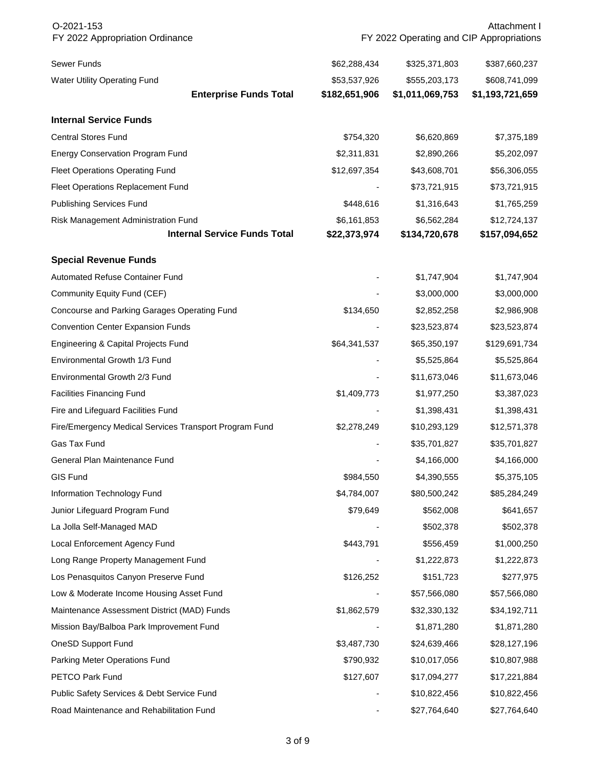| O-2021-153<br>FY 2022 Appropriation Ordinance          |                                     | Attachment I<br>FY 2022 Operating and CIP Appropriations |                 |                 |
|--------------------------------------------------------|-------------------------------------|----------------------------------------------------------|-----------------|-----------------|
| <b>Sewer Funds</b>                                     |                                     | \$62,288,434                                             | \$325,371,803   | \$387,660,237   |
| <b>Water Utility Operating Fund</b>                    |                                     | \$53,537,926                                             | \$555,203,173   | \$608,741,099   |
|                                                        | <b>Enterprise Funds Total</b>       | \$182,651,906                                            | \$1,011,069,753 | \$1,193,721,659 |
| <b>Internal Service Funds</b>                          |                                     |                                                          |                 |                 |
| <b>Central Stores Fund</b>                             |                                     | \$754,320                                                | \$6,620,869     | \$7,375,189     |
| <b>Energy Conservation Program Fund</b>                |                                     | \$2,311,831                                              | \$2,890,266     | \$5,202,097     |
| <b>Fleet Operations Operating Fund</b>                 |                                     | \$12,697,354                                             | \$43,608,701    | \$56,306,055    |
| Fleet Operations Replacement Fund                      |                                     |                                                          | \$73,721,915    | \$73,721,915    |
| <b>Publishing Services Fund</b>                        |                                     | \$448,616                                                | \$1,316,643     | \$1,765,259     |
| Risk Management Administration Fund                    |                                     | \$6,161,853                                              | \$6,562,284     | \$12,724,137    |
|                                                        | <b>Internal Service Funds Total</b> | \$22,373,974                                             | \$134,720,678   | \$157,094,652   |
| <b>Special Revenue Funds</b>                           |                                     |                                                          |                 |                 |
| Automated Refuse Container Fund                        |                                     |                                                          | \$1,747,904     | \$1,747,904     |
| Community Equity Fund (CEF)                            |                                     |                                                          | \$3,000,000     | \$3,000,000     |
| Concourse and Parking Garages Operating Fund           |                                     | \$134,650                                                | \$2,852,258     | \$2,986,908     |
| <b>Convention Center Expansion Funds</b>               |                                     |                                                          | \$23,523,874    | \$23,523,874    |
| Engineering & Capital Projects Fund                    |                                     | \$64,341,537                                             | \$65,350,197    | \$129,691,734   |
| Environmental Growth 1/3 Fund                          |                                     |                                                          | \$5,525,864     | \$5,525,864     |
| Environmental Growth 2/3 Fund                          |                                     |                                                          | \$11,673,046    | \$11,673,046    |
| <b>Facilities Financing Fund</b>                       |                                     | \$1,409,773                                              | \$1,977,250     | \$3,387,023     |
| Fire and Lifeguard Facilities Fund                     |                                     |                                                          | \$1,398,431     | \$1,398,431     |
| Fire/Emergency Medical Services Transport Program Fund |                                     | \$2,278,249                                              | \$10,293,129    | \$12,571,378    |
| Gas Tax Fund                                           |                                     |                                                          | \$35,701,827    | \$35,701,827    |
| General Plan Maintenance Fund                          |                                     |                                                          | \$4,166,000     | \$4,166,000     |
| <b>GIS Fund</b>                                        |                                     | \$984,550                                                | \$4,390,555     | \$5,375,105     |
| Information Technology Fund                            |                                     | \$4,784,007                                              | \$80,500,242    | \$85,284,249    |
| Junior Lifeguard Program Fund                          |                                     | \$79,649                                                 | \$562,008       | \$641,657       |
| La Jolla Self-Managed MAD                              |                                     |                                                          | \$502,378       | \$502,378       |
| Local Enforcement Agency Fund                          |                                     | \$443,791                                                | \$556,459       | \$1,000,250     |
| Long Range Property Management Fund                    |                                     |                                                          | \$1,222,873     | \$1,222,873     |
| Los Penasquitos Canyon Preserve Fund                   |                                     | \$126,252                                                | \$151,723       | \$277,975       |
| Low & Moderate Income Housing Asset Fund               |                                     |                                                          | \$57,566,080    | \$57,566,080    |
| Maintenance Assessment District (MAD) Funds            |                                     | \$1,862,579                                              | \$32,330,132    | \$34,192,711    |
| Mission Bay/Balboa Park Improvement Fund               |                                     |                                                          | \$1,871,280     | \$1,871,280     |
| OneSD Support Fund                                     |                                     | \$3,487,730                                              | \$24,639,466    | \$28,127,196    |
| Parking Meter Operations Fund                          |                                     | \$790,932                                                | \$10,017,056    | \$10,807,988    |
| PETCO Park Fund                                        |                                     | \$127,607                                                | \$17,094,277    | \$17,221,884    |
| Public Safety Services & Debt Service Fund             |                                     |                                                          | \$10,822,456    | \$10,822,456    |
| Road Maintenance and Rehabilitation Fund               |                                     |                                                          | \$27,764,640    | \$27,764,640    |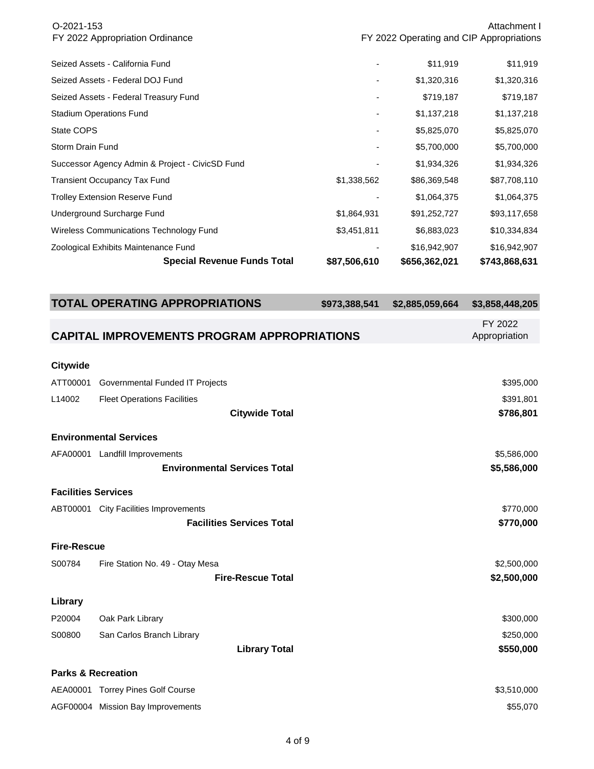| O-2021-153                                                                                                                | FY 2022 Appropriation Ordinance                    |               | FY 2022 Operating and CIP Appropriations | Attachment I             |
|---------------------------------------------------------------------------------------------------------------------------|----------------------------------------------------|---------------|------------------------------------------|--------------------------|
|                                                                                                                           | Seized Assets - California Fund                    |               | \$11,919                                 | \$11,919                 |
| Seized Assets - Federal DOJ Fund<br>Seized Assets - Federal Treasury Fund<br><b>Stadium Operations Fund</b><br>State COPS |                                                    |               | \$1,320,316                              | \$1,320,316              |
|                                                                                                                           |                                                    |               | \$719,187                                | \$719,187                |
|                                                                                                                           |                                                    |               | \$1,137,218                              | \$1,137,218              |
|                                                                                                                           |                                                    |               | \$5,825,070                              | \$5,825,070              |
|                                                                                                                           | Storm Drain Fund                                   |               | \$5,700,000                              | \$5,700,000              |
|                                                                                                                           | Successor Agency Admin & Project - CivicSD Fund    |               | \$1,934,326                              | \$1,934,326              |
|                                                                                                                           | <b>Transient Occupancy Tax Fund</b>                | \$1,338,562   | \$86,369,548                             | \$87,708,110             |
|                                                                                                                           | <b>Trolley Extension Reserve Fund</b>              |               | \$1,064,375                              | \$1,064,375              |
|                                                                                                                           | Underground Surcharge Fund                         | \$1,864,931   | \$91,252,727                             | \$93,117,658             |
|                                                                                                                           | Wireless Communications Technology Fund            | \$3,451,811   | \$6,883,023                              | \$10,334,834             |
|                                                                                                                           | Zoological Exhibits Maintenance Fund               |               | \$16,942,907                             | \$16,942,907             |
|                                                                                                                           | <b>Special Revenue Funds Total</b>                 | \$87,506,610  | \$656,362,021                            | \$743,868,631            |
|                                                                                                                           | <b>TOTAL OPERATING APPROPRIATIONS</b>              | \$973,388,541 | \$2,885,059,664                          | \$3,858,448,205          |
|                                                                                                                           | <b>CAPITAL IMPROVEMENTS PROGRAM APPROPRIATIONS</b> |               |                                          | FY 2022<br>Appropriation |
| <b>Citywide</b>                                                                                                           |                                                    |               |                                          |                          |
| ATT00001                                                                                                                  | Governmental Funded IT Projects                    |               |                                          | \$395,000                |
| L14002                                                                                                                    | <b>Fleet Operations Facilities</b>                 |               |                                          | \$391,801                |
|                                                                                                                           | <b>Citywide Total</b>                              |               |                                          | \$786,801                |
|                                                                                                                           | <b>Environmental Services</b>                      |               |                                          |                          |
|                                                                                                                           | AFA00001 Landfill Improvements                     |               |                                          | \$5,586,000              |
|                                                                                                                           | <b>Environmental Services Total</b>                |               |                                          | \$5,586,000              |
| <b>Facilities Services</b>                                                                                                |                                                    |               |                                          |                          |
|                                                                                                                           | ABT00001 City Facilities Improvements              |               |                                          | \$770,000                |
|                                                                                                                           | <b>Facilities Services Total</b>                   |               |                                          | \$770,000                |
| <b>Fire-Rescue</b>                                                                                                        |                                                    |               |                                          |                          |
| S00784                                                                                                                    | Fire Station No. 49 - Otay Mesa                    |               |                                          | \$2,500,000              |
|                                                                                                                           | <b>Fire-Rescue Total</b>                           |               |                                          | \$2,500,000              |
| Library                                                                                                                   |                                                    |               |                                          |                          |
| P20004                                                                                                                    | Oak Park Library                                   |               |                                          | \$300,000                |
| S00800                                                                                                                    | San Carlos Branch Library                          |               |                                          | \$250,000                |
|                                                                                                                           | <b>Library Total</b>                               |               |                                          | \$550,000                |
| <b>Parks &amp; Recreation</b>                                                                                             |                                                    |               |                                          |                          |
|                                                                                                                           | AEA00001 Torrey Pines Golf Course                  |               |                                          | \$3,510,000              |
|                                                                                                                           | AGF00004 Mission Bay Improvements                  |               |                                          | \$55,070                 |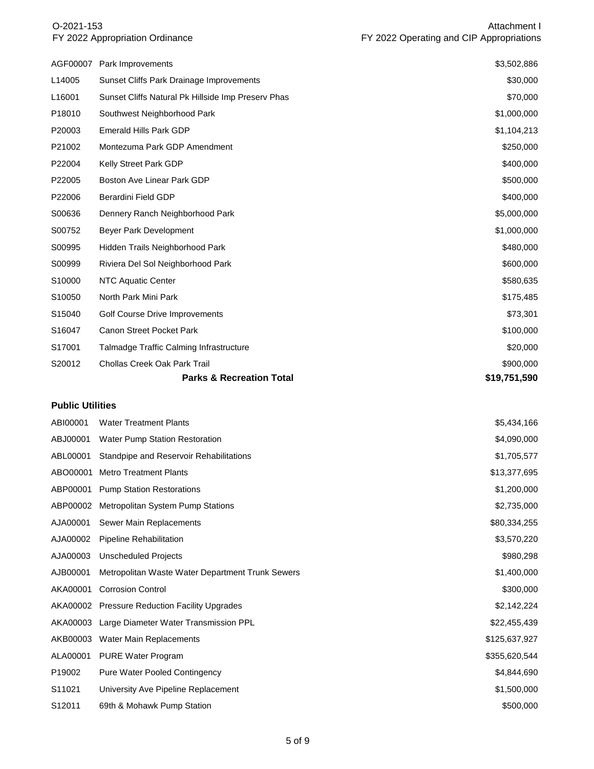#### O-2021-153 FY 2022 Appropriation Ordinance

| AGF00007           | Park Improvements                                  | \$3,502,886  |
|--------------------|----------------------------------------------------|--------------|
| L14005             | Sunset Cliffs Park Drainage Improvements           | \$30,000     |
| L16001             | Sunset Cliffs Natural Pk Hillside Imp Preserv Phas | \$70,000     |
| P18010             | Southwest Neighborhood Park                        | \$1,000,000  |
| P20003             | <b>Emerald Hills Park GDP</b>                      | \$1,104,213  |
| P21002             | Montezuma Park GDP Amendment                       | \$250,000    |
| P22004             | <b>Kelly Street Park GDP</b>                       | \$400,000    |
| P22005             | Boston Ave Linear Park GDP                         | \$500,000    |
| P22006             | <b>Berardini Field GDP</b>                         | \$400,000    |
| S00636             | Dennery Ranch Neighborhood Park                    | \$5,000,000  |
| S00752             | Beyer Park Development                             | \$1,000,000  |
| S00995             | Hidden Trails Neighborhood Park                    | \$480,000    |
| S00999             | Riviera Del Sol Neighborhood Park                  | \$600,000    |
| S10000             | NTC Aquatic Center                                 | \$580,635    |
| S <sub>10050</sub> | North Park Mini Park                               | \$175,485    |
| S15040             | Golf Course Drive Improvements                     | \$73,301     |
| S16047             | <b>Canon Street Pocket Park</b>                    | \$100,000    |
| S <sub>17001</sub> | Talmadge Traffic Calming Infrastructure            | \$20,000     |
| S20012             | Chollas Creek Oak Park Trail                       | \$900,000    |
|                    | <b>Parks &amp; Recreation Total</b>                | \$19,751,590 |

#### **Public Utilities**

| ABI00001 | <b>Water Treatment Plants</b>                    | \$5,434,166   |
|----------|--------------------------------------------------|---------------|
| ABJ00001 | Water Pump Station Restoration                   | \$4,090,000   |
| ABL00001 | Standpipe and Reservoir Rehabilitations          | \$1,705,577   |
| ABO00001 | <b>Metro Treatment Plants</b>                    | \$13,377,695  |
| ABP00001 | <b>Pump Station Restorations</b>                 | \$1,200,000   |
| ABP00002 | <b>Metropolitan System Pump Stations</b>         | \$2,735,000   |
| AJA00001 | Sewer Main Replacements                          | \$80,334,255  |
| AJA00002 | Pipeline Rehabilitation                          | \$3,570,220   |
| AJA00003 | <b>Unscheduled Projects</b>                      | \$980,298     |
| AJB00001 | Metropolitan Waste Water Department Trunk Sewers | \$1,400,000   |
| AKA00001 | <b>Corrosion Control</b>                         | \$300,000     |
| AKA00002 | <b>Pressure Reduction Facility Upgrades</b>      | \$2,142,224   |
| AKA00003 | Large Diameter Water Transmission PPL            | \$22,455,439  |
| AKB00003 | Water Main Replacements                          | \$125,637,927 |
| ALA00001 | <b>PURE Water Program</b>                        | \$355,620,544 |
| P19002   | <b>Pure Water Pooled Contingency</b>             | \$4,844,690   |
| S11021   | University Ave Pipeline Replacement              | \$1,500,000   |
| S12011   | 69th & Mohawk Pump Station                       | \$500,000     |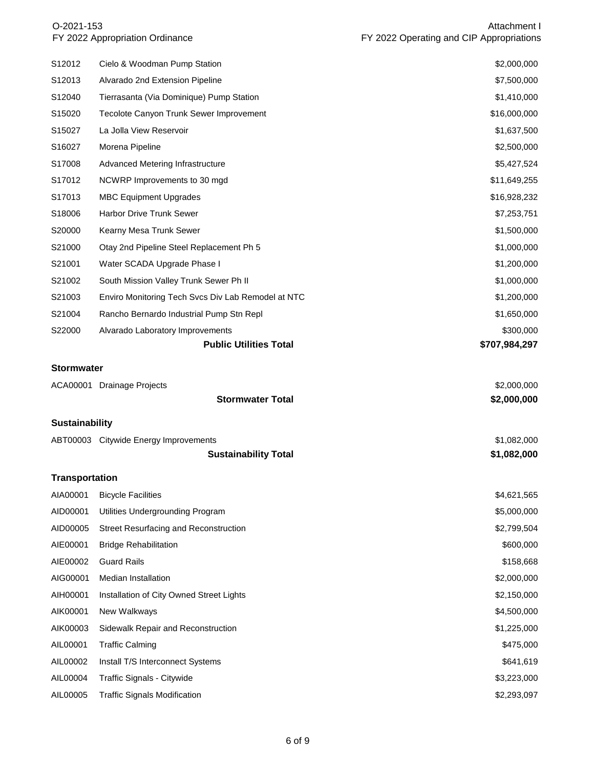#### O-2021-153 FY 2022 Appropriation Ordinance

| S12012                | Cielo & Woodman Pump Station                       | \$2,000,000   |
|-----------------------|----------------------------------------------------|---------------|
| S12013                | Alvarado 2nd Extension Pipeline                    | \$7,500,000   |
| S12040                | Tierrasanta (Via Dominique) Pump Station           | \$1,410,000   |
| S15020                | Tecolote Canyon Trunk Sewer Improvement            | \$16,000,000  |
| S15027                | La Jolla View Reservoir                            | \$1,637,500   |
| S16027                | Morena Pipeline                                    | \$2,500,000   |
| S17008                | Advanced Metering Infrastructure                   | \$5,427,524   |
| S17012                | NCWRP Improvements to 30 mgd                       | \$11,649,255  |
| S17013                | <b>MBC Equipment Upgrades</b>                      | \$16,928,232  |
| S18006                | <b>Harbor Drive Trunk Sewer</b>                    | \$7,253,751   |
| S20000                | Kearny Mesa Trunk Sewer                            | \$1,500,000   |
| S21000                | Otay 2nd Pipeline Steel Replacement Ph 5           | \$1,000,000   |
| S21001                | Water SCADA Upgrade Phase I                        | \$1,200,000   |
| S21002                | South Mission Valley Trunk Sewer Ph II             | \$1,000,000   |
| S21003                | Enviro Monitoring Tech Svcs Div Lab Remodel at NTC | \$1,200,000   |
| S21004                | Rancho Bernardo Industrial Pump Stn Repl           | \$1,650,000   |
| S22000                | Alvarado Laboratory Improvements                   | \$300,000     |
|                       | <b>Public Utilities Total</b>                      | \$707,984,297 |
| <b>Stormwater</b>     |                                                    |               |
|                       | ACA00001 Drainage Projects                         | \$2,000,000   |
|                       | <b>Stormwater Total</b>                            | \$2,000,000   |
| <b>Sustainability</b> |                                                    |               |
|                       | ABT00003 Citywide Energy Improvements              | \$1,082,000   |
|                       | <b>Sustainability Total</b>                        | \$1,082,000   |
| <b>Transportation</b> |                                                    |               |
| AIA00001              | <b>Bicycle Facilities</b>                          | \$4,621,565   |
| AID00001              | Utilities Undergrounding Program                   | \$5,000,000   |
| AID00005              | <b>Street Resurfacing and Reconstruction</b>       | \$2,799,504   |
| AIE00001              | <b>Bridge Rehabilitation</b>                       | \$600,000     |
| AIE00002              | <b>Guard Rails</b>                                 | \$158,668     |
| AIG00001              | Median Installation                                | \$2,000,000   |
| AIH00001              | Installation of City Owned Street Lights           | \$2,150,000   |
| AIK00001              | New Walkways                                       | \$4,500,000   |
| AIK00003              | Sidewalk Repair and Reconstruction                 | \$1,225,000   |
| AIL00001              | <b>Traffic Calming</b>                             | \$475,000     |
| AIL00002              | Install T/S Interconnect Systems                   | \$641,619     |
| AIL00004              | Traffic Signals - Citywide                         | \$3,223,000   |
| AIL00005              | <b>Traffic Signals Modification</b>                | \$2,293,097   |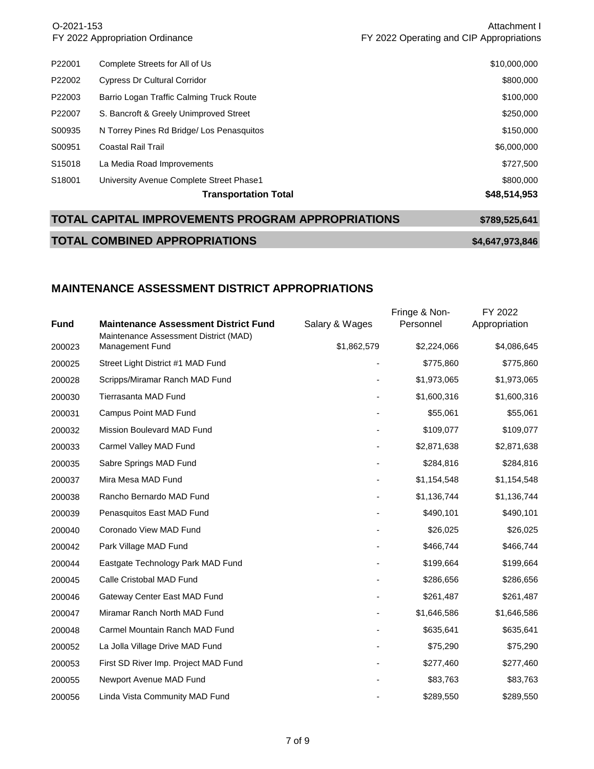| FY 2022 Operating and CIP Appropriations |
|------------------------------------------|
|                                          |
|                                          |
| \$10,000,000                             |
| \$800,000                                |
| \$100,000                                |
| \$250,000                                |
| \$150,000                                |
| \$6,000,000                              |
| \$727,500                                |
| \$800,000                                |
| \$48,514,953                             |
|                                          |

| <b>TOTAL CAPITAL IMPROVEMENTS PROGRAM APPROPRIATIONS</b> | \$789,525,641   |
|----------------------------------------------------------|-----------------|
| <b>TOTAL COMBINED APPROPRIATIONS</b>                     | \$4,647,973,846 |

# **MAINTENANCE ASSESSMENT DISTRICT APPROPRIATIONS**

| <b>Fund</b> | <b>Maintenance Assessment District Fund</b>                     | Salary & Wages | Fringe & Non-<br>Personnel | FY 2022<br>Appropriation |
|-------------|-----------------------------------------------------------------|----------------|----------------------------|--------------------------|
| 200023      | Maintenance Assessment District (MAD)<br><b>Management Fund</b> | \$1,862,579    | \$2,224,066                | \$4,086,645              |
| 200025      | Street Light District #1 MAD Fund                               |                | \$775,860                  | \$775,860                |
| 200028      | Scripps/Miramar Ranch MAD Fund                                  |                | \$1,973,065                | \$1,973,065              |
| 200030      | Tierrasanta MAD Fund                                            |                | \$1,600,316                | \$1,600,316              |
| 200031      | Campus Point MAD Fund                                           |                | \$55,061                   | \$55,061                 |
| 200032      | Mission Boulevard MAD Fund                                      |                | \$109,077                  | \$109,077                |
| 200033      | Carmel Valley MAD Fund                                          |                | \$2,871,638                | \$2,871,638              |
| 200035      | Sabre Springs MAD Fund                                          |                | \$284,816                  | \$284,816                |
| 200037      | Mira Mesa MAD Fund                                              |                | \$1,154,548                | \$1,154,548              |
| 200038      | Rancho Bernardo MAD Fund                                        |                | \$1,136,744                | \$1,136,744              |
| 200039      | Penasquitos East MAD Fund                                       |                | \$490,101                  | \$490,101                |
| 200040      | Coronado View MAD Fund                                          |                | \$26,025                   | \$26,025                 |
| 200042      | Park Village MAD Fund                                           |                | \$466,744                  | \$466,744                |
| 200044      | Eastgate Technology Park MAD Fund                               |                | \$199,664                  | \$199,664                |
| 200045      | Calle Cristobal MAD Fund                                        |                | \$286,656                  | \$286,656                |
| 200046      | Gateway Center East MAD Fund                                    |                | \$261,487                  | \$261,487                |
| 200047      | Miramar Ranch North MAD Fund                                    |                | \$1,646,586                | \$1,646,586              |
| 200048      | Carmel Mountain Ranch MAD Fund                                  |                | \$635,641                  | \$635,641                |
| 200052      | La Jolla Village Drive MAD Fund                                 |                | \$75,290                   | \$75,290                 |
| 200053      | First SD River Imp. Project MAD Fund                            |                | \$277,460                  | \$277,460                |
| 200055      | Newport Avenue MAD Fund                                         |                | \$83,763                   | \$83,763                 |
| 200056      | Linda Vista Community MAD Fund                                  |                | \$289,550                  | \$289,550                |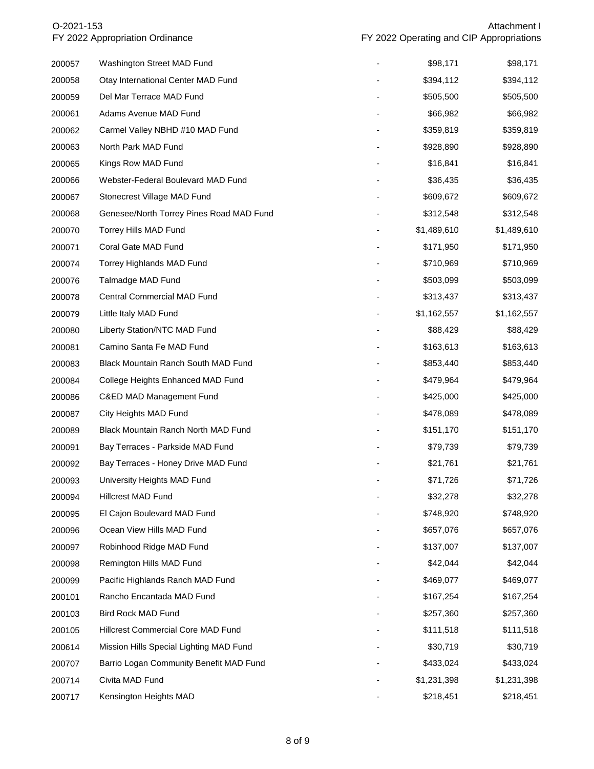#### O-2021-153 FY 2022 Appropriation Ordinance

| 200057 | Washington Street MAD Fund               | \$98,171    | \$98,171    |
|--------|------------------------------------------|-------------|-------------|
| 200058 | Otay International Center MAD Fund       | \$394,112   | \$394,112   |
| 200059 | Del Mar Terrace MAD Fund                 | \$505,500   | \$505,500   |
| 200061 | Adams Avenue MAD Fund                    | \$66,982    | \$66,982    |
| 200062 | Carmel Valley NBHD #10 MAD Fund          | \$359,819   | \$359,819   |
| 200063 | North Park MAD Fund                      | \$928,890   | \$928,890   |
| 200065 | Kings Row MAD Fund                       | \$16,841    | \$16,841    |
| 200066 | Webster-Federal Boulevard MAD Fund       | \$36,435    | \$36,435    |
| 200067 | Stonecrest Village MAD Fund              | \$609,672   | \$609,672   |
| 200068 | Genesee/North Torrey Pines Road MAD Fund | \$312,548   | \$312,548   |
| 200070 | <b>Torrey Hills MAD Fund</b>             | \$1,489,610 | \$1,489,610 |
| 200071 | Coral Gate MAD Fund                      | \$171,950   | \$171,950   |
| 200074 | Torrey Highlands MAD Fund                | \$710,969   | \$710,969   |
| 200076 | Talmadge MAD Fund                        | \$503,099   | \$503,099   |
| 200078 | Central Commercial MAD Fund              | \$313,437   | \$313,437   |
| 200079 | Little Italy MAD Fund                    | \$1,162,557 | \$1,162,557 |
| 200080 | Liberty Station/NTC MAD Fund             | \$88,429    | \$88,429    |
| 200081 | Camino Santa Fe MAD Fund                 | \$163,613   | \$163,613   |
| 200083 | Black Mountain Ranch South MAD Fund      | \$853,440   | \$853,440   |
| 200084 | College Heights Enhanced MAD Fund        | \$479,964   | \$479,964   |
| 200086 | <b>C&amp;ED MAD Management Fund</b>      | \$425,000   | \$425,000   |
| 200087 | City Heights MAD Fund                    | \$478,089   | \$478,089   |
| 200089 | Black Mountain Ranch North MAD Fund      | \$151,170   | \$151,170   |
| 200091 | Bay Terraces - Parkside MAD Fund         | \$79,739    | \$79,739    |
| 200092 | Bay Terraces - Honey Drive MAD Fund      | \$21,761    | \$21,761    |
| 200093 | University Heights MAD Fund              | \$71,726    | \$71,726    |
| 200094 | Hillcrest MAD Fund                       | \$32,278    | \$32,278    |
| 200095 | El Cajon Boulevard MAD Fund              | \$748,920   | \$748,920   |
| 200096 | Ocean View Hills MAD Fund                | \$657,076   | \$657,076   |
| 200097 | Robinhood Ridge MAD Fund                 | \$137,007   | \$137,007   |
| 200098 | Remington Hills MAD Fund                 | \$42,044    | \$42,044    |
| 200099 | Pacific Highlands Ranch MAD Fund         | \$469,077   | \$469,077   |
| 200101 | Rancho Encantada MAD Fund                | \$167,254   | \$167,254   |
| 200103 | Bird Rock MAD Fund                       | \$257,360   | \$257,360   |
| 200105 | Hillcrest Commercial Core MAD Fund       | \$111,518   | \$111,518   |
| 200614 | Mission Hills Special Lighting MAD Fund  | \$30,719    | \$30,719    |
| 200707 | Barrio Logan Community Benefit MAD Fund  | \$433,024   | \$433,024   |

200714 Civita MAD Fund **Civita MAD Fund 1997** Civita MAD Fund 200717 Kensington Heights MAD **1988 1218,451** \$218,451 \$218,451